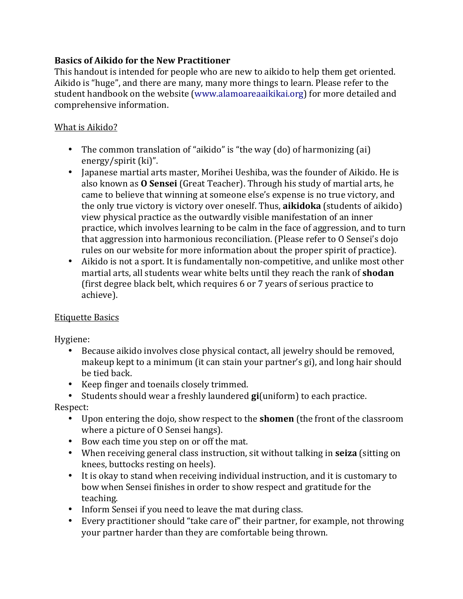# **Basics of Aikido for the New Practitioner**

This handout is intended for people who are new to aikido to help them get oriented. Aikido is "huge", and there are many, many more things to learn. Please refer to the student handbook on the website (www.alamoareaaikikai.org) for more detailed and comprehensive information.

#### What is Aikido?

- The common translation of "aikido" is "the way  $(do)$  of harmonizing  $(ai)$ energy/spirit $(ki)$ ".
- Japanese martial arts master, Morihei Ueshiba, was the founder of Aikido. He is also known as **O Sensei** (Great Teacher). Through his study of martial arts, he came to believe that winning at someone else's expense is no true victory, and the only true victory is victory over oneself. Thus, **aikidoka** (students of aikido) view physical practice as the outwardly visible manifestation of an inner practice, which involves learning to be calm in the face of aggression, and to turn that aggression into harmonious reconciliation. (Please refer to O Sensei's dojo rules on our website for more information about the proper spirit of practice).
- Aikido is not a sport. It is fundamentally non-competitive, and unlike most other martial arts, all students wear white belts until they reach the rank of **shodan** (first degree black belt, which requires 6 or 7 years of serious practice to achieve).

# Etiquette Basics

Hygiene:

- Because aikido involves close physical contact, all jewelry should be removed, makeup kept to a minimum (it can stain your partner's gi), and long hair should be tied back.
- Keep finger and toenails closely trimmed.
- Students should wear a freshly laundered **gi**(uniform) to each practice.

Respect: 

- Upon entering the dojo, show respect to the **shomen** (the front of the classroom where a picture of O Sensei hangs).
- Bow each time you step on or off the mat.
- When receiving general class instruction, sit without talking in **seiza** (sitting on knees, buttocks resting on heels).
- It is okay to stand when receiving individual instruction, and it is customary to bow when Sensei finishes in order to show respect and gratitude for the teaching.
- Inform Sensei if you need to leave the mat during class.
- Every practitioner should "take care of" their partner, for example, not throwing your partner harder than they are comfortable being thrown.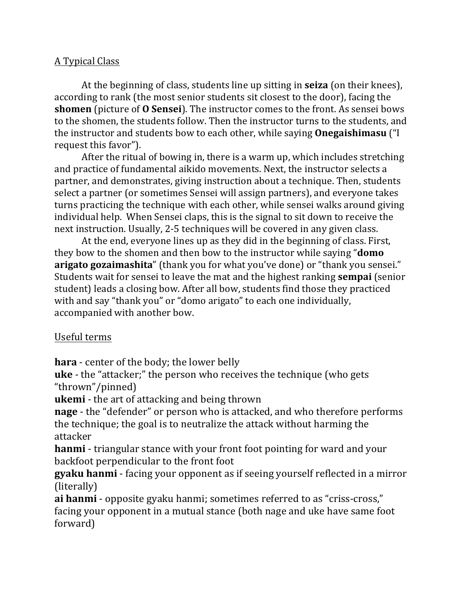# A Typical Class

At the beginning of class, students line up sitting in **seiza** (on their knees), according to rank (the most senior students sit closest to the door), facing the **shomen** (picture of **O** Sensei). The instructor comes to the front. As sensei bows to the shomen, the students follow. Then the instructor turns to the students, and the instructor and students bow to each other, while saying **Onegaishimasu** ("I request this favor").

After the ritual of bowing in, there is a warm up, which includes stretching and practice of fundamental aikido movements. Next, the instructor selects a partner, and demonstrates, giving instruction about a technique. Then, students select a partner (or sometimes Sensei will assign partners), and everyone takes turns practicing the technique with each other, while sensei walks around giving individual help. When Sensei claps, this is the signal to sit down to receive the next instruction. Usually, 2-5 techniques will be covered in any given class.

At the end, everyone lines up as they did in the beginning of class. First, they bow to the shomen and then bow to the instructor while saying "**domo arigato gozaimashita**" (thank you for what you've done) or "thank you sensei." Students wait for sensei to leave the mat and the highest ranking **sempai** (senior student) leads a closing bow. After all bow, students find those they practiced with and say "thank you" or "domo arigato" to each one individually, accompanied with another bow.

# Useful terms

**hara** - center of the body; the lower belly

**uke** - the "attacker;" the person who receives the technique (who gets "thrown"/pinned)

**ukemi** - the art of attacking and being thrown

**nage** - the "defender" or person who is attacked, and who therefore performs the technique; the goal is to neutralize the attack without harming the attacker

**hanmi** - triangular stance with your front foot pointing for ward and your backfoot perpendicular to the front foot

**gyaku hanmi** - facing your opponent as if seeing yourself reflected in a mirror (literally)

**ai hanmi** - opposite gyaku hanmi; sometimes referred to as "criss-cross," facing your opponent in a mutual stance (both nage and uke have same foot forward)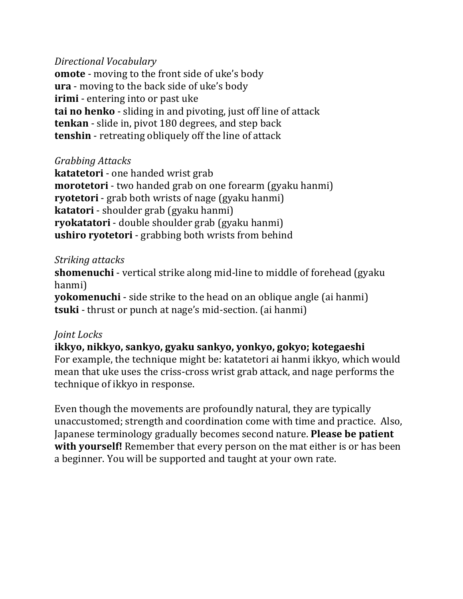#### *Directional Vocabulary*

**omote** - moving to the front side of uke's body **ura** - moving to the back side of uke's body **irimi** - entering into or past uke **tai no henko** - sliding in and pivoting, just off line of attack **tenkan** - slide in, pivot 180 degrees, and step back **tenshin** - retreating obliquely off the line of attack

# *Grabbing Attacks*

**katatetori** - one handed wrist grab **morotetori** - two handed grab on one forearm (gyaku hanmi) **ryotetori** - grab both wrists of nage (gyaku hanmi) **katatori** - shoulder grab (gyaku hanmi) **ryokatatori** - double shoulder grab (gyaku hanmi) **ushiro ryotetori** - grabbing both wrists from behind

#### *Striking attacks*

**shomenuchi** - vertical strike along mid-line to middle of forehead (gyaku) hanmi)

**yokomenuchi** - side strike to the head on an oblique angle (ai hanmi) **tsuki** - thrust or punch at nage's mid-section. (ai hanmi)

# *Joint Locks*

**ikkyo, nikkyo, sankyo, gyaku sankyo, yonkyo, gokyo; kotegaeshi** For example, the technique might be: katatetori ai hanmi ikkyo, which would mean that uke uses the criss-cross wrist grab attack, and nage performs the technique of ikkyo in response.

Even though the movements are profoundly natural, they are typically unaccustomed; strength and coordination come with time and practice. Also, Japanese terminology gradually becomes second nature. **Please be patient with yourself!** Remember that every person on the mat either is or has been a beginner. You will be supported and taught at your own rate.